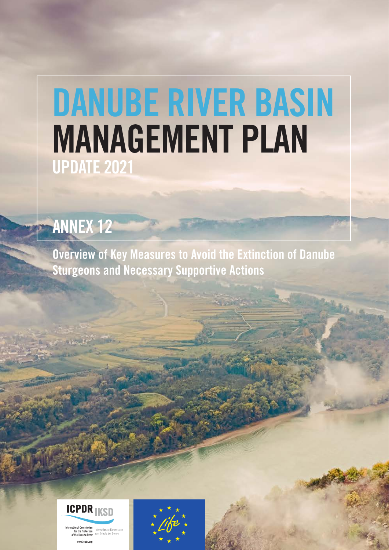# DANUBE RIVER BASIN MANAGEMENT PLAN UPDATE 2021

# ANNEX 12

Overview of Key Measures to Avoid the Extinction of Danube Sturgeons and Necessary Supportive Actions



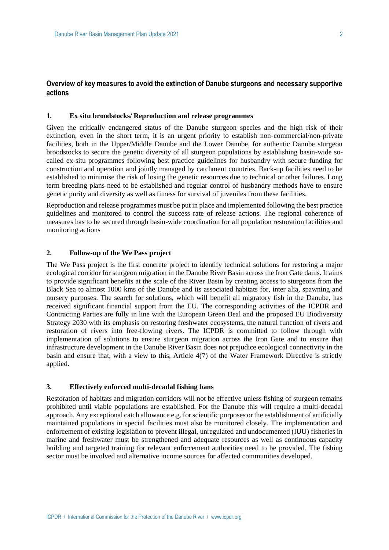# **Overview of key measures to avoid the extinction of Danube sturgeons and necessary supportive actions**

#### **1. Ex situ broodstocks/ Reproduction and release programmes**

Given the critically endangered status of the Danube sturgeon species and the high risk of their extinction, even in the short term, it is an urgent priority to establish non-commercial/non-private facilities, both in the Upper/Middle Danube and the Lower Danube, for authentic Danube sturgeon broodstocks to secure the genetic diversity of all sturgeon populations by establishing basin-wide socalled ex-situ programmes following best practice guidelines for husbandry with secure funding for construction and operation and jointly managed by catchment countries. Back-up facilities need to be established to minimise the risk of losing the genetic resources due to technical or other failures. Long term breeding plans need to be established and regular control of husbandry methods have to ensure genetic purity and diversity as well as fitness for survival of juveniles from these facilities.

Reproduction and release programmes must be put in place and implemented following the best practice guidelines and monitored to control the success rate of release actions. The regional coherence of measures has to be secured through basin-wide coordination for all population restoration facilities and monitoring actions

## **2. Follow-up of the We Pass project**

The We Pass project is the first concrete project to identify technical solutions for restoring a major ecological corridor for sturgeon migration in the Danube River Basin across the Iron Gate dams. It aims to provide significant benefits at the scale of the River Basin by creating access to sturgeons from the Black Sea to almost 1000 kms of the Danube and its associated habitats for, inter alia, spawning and nursery purposes. The search for solutions, which will benefit all migratory fish in the Danube, has received significant financial support from the EU. The corresponding activities of the ICPDR and Contracting Parties are fully in line with the European Green Deal and the proposed EU Biodiversity Strategy 2030 with its emphasis on restoring freshwater ecosystems, the natural function of rivers and restoration of rivers into free-flowing rivers. The ICPDR is committed to follow through with implementation of solutions to ensure sturgeon migration across the Iron Gate and to ensure that infrastructure development in the Danube River Basin does not prejudice ecological connectivity in the basin and ensure that, with a view to this, Article 4(7) of the Water Framework Directive is strictly applied.

#### **3. Effectively enforced multi-decadal fishing bans**

Restoration of habitats and migration corridors will not be effective unless fishing of sturgeon remains prohibited until viable populations are established. For the Danube this will require a multi-decadal approach. Any exceptional catch allowance e.g. for scientific purposes or the establishment of artificially maintained populations in special facilities must also be monitored closely. The implementation and enforcement of existing legislation to prevent illegal, unregulated and undocumented (IUU) fisheries in marine and freshwater must be strengthened and adequate resources as well as continuous capacity building and targeted training for relevant enforcement authorities need to be provided. The fishing sector must be involved and alternative income sources for affected communities developed.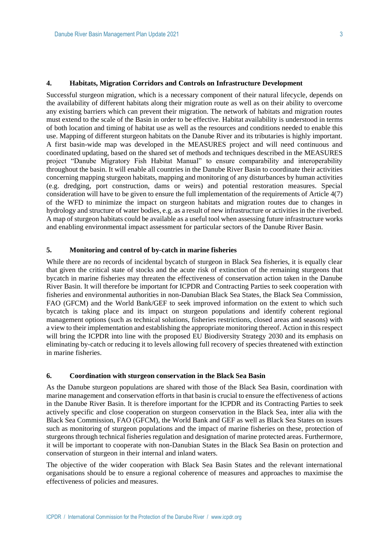#### **4. Habitats, Migration Corridors and Controls on Infrastructure Development**

Successful sturgeon migration, which is a necessary component of their natural lifecycle, depends on the availability of different habitats along their migration route as well as on their ability to overcome any existing barriers which can prevent their migration. The network of habitats and migration routes must extend to the scale of the Basin in order to be effective. Habitat availability is understood in terms of both location and timing of habitat use as well as the resources and conditions needed to enable this use. Mapping of different sturgeon habitats on the Danube River and its tributaries is highly important. A first basin-wide map was developed in the MEASURES project and will need continuous and coordinated updating, based on the shared set of methods and techniques described in the MEASURES project "Danube Migratory Fish Habitat Manual" to ensure comparability and interoperability throughout the basin. It will enable all countries in the Danube River Basin to coordinate their activities concerning mapping sturgeon habitats, mapping and monitoring of any disturbances by human activities (e.g. dredging, port construction, dams or weirs) and potential restoration measures. Special consideration will have to be given to ensure the full implementation of the requirements of Article 4(7) of the WFD to minimize the impact on sturgeon habitats and migration routes due to changes in hydrology and structure of water bodies, e.g. as a result of new infrastructure or activities in the riverbed. A map of sturgeon habitats could be available as a useful tool when assessing future infrastructure works and enabling environmental impact assessment for particular sectors of the Danube River Basin.

#### **5. Monitoring and control of by-catch in marine fisheries**

While there are no records of incidental by catch of sturgeon in Black Sea fisheries, it is equally clear that given the critical state of stocks and the acute risk of extinction of the remaining sturgeons that bycatch in marine fisheries may threaten the effectiveness of conservation action taken in the Danube River Basin. It will therefore be important for ICPDR and Contracting Parties to seek cooperation with fisheries and environmental authorities in non-Danubian Black Sea States, the Black Sea Commission, FAO (GFCM) and the World Bank/GEF to seek improved information on the extent to which such bycatch is taking place and its impact on sturgeon populations and identify coherent regional management options (such as technical solutions, fisheries restrictions, closed areas and seasons) with a view to their implementation and establishing the appropriate monitoring thereof. Action in this respect will bring the ICPDR into line with the proposed EU Biodiversity Strategy 2030 and its emphasis on eliminating by-catch or reducing it to levels allowing full recovery of species threatened with extinction in marine fisheries.

#### **6. Coordination with sturgeon conservation in the Black Sea Basin**

As the Danube sturgeon populations are shared with those of the Black Sea Basin, coordination with marine management and conservation efforts in that basin is crucial to ensure the effectiveness of actions in the Danube River Basin. It is therefore important for the ICPDR and its Contracting Parties to seek actively specific and close cooperation on sturgeon conservation in the Black Sea, inter alia with the Black Sea Commission, FAO (GFCM), the World Bank and GEF as well as Black Sea States on issues such as monitoring of sturgeon populations and the impact of marine fisheries on these, protection of sturgeons through technical fisheries regulation and designation of marine protected areas. Furthermore, it will be important to cooperate with non-Danubian States in the Black Sea Basin on protection and conservation of sturgeon in their internal and inland waters.

The objective of the wider cooperation with Black Sea Basin States and the relevant international organisations should be to ensure a regional coherence of measures and approaches to maximise the effectiveness of policies and measures.